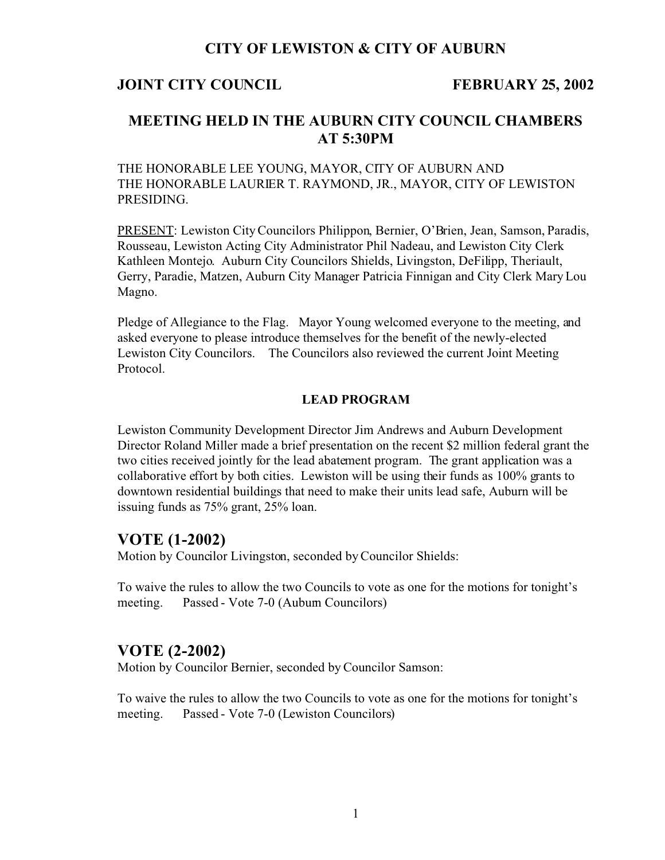## **CITY OF LEWISTON & CITY OF AUBURN**

#### **JOINT CITY COUNCIL FEBRUARY 25, 2002**

# **MEETING HELD IN THE AUBURN CITY COUNCIL CHAMBERS AT 5:30PM**

THE HONORABLE LEE YOUNG, MAYOR, CITY OF AUBURN AND THE HONORABLE LAURIER T. RAYMOND, JR., MAYOR, CITY OF LEWISTON PRESIDING.

PRESENT: Lewiston City Councilors Philippon, Bernier, O'Brien, Jean, Samson, Paradis, Rousseau, Lewiston Acting City Administrator Phil Nadeau, and Lewiston City Clerk Kathleen Montejo. Auburn City Councilors Shields, Livingston, DeFilipp, Theriault, Gerry, Paradie, Matzen, Auburn City Manager Patricia Finnigan and City Clerk Mary Lou Magno.

Pledge of Allegiance to the Flag. Mayor Young welcomed everyone to the meeting, and asked everyone to please introduce themselves for the benefit of the newly-elected Lewiston City Councilors. The Councilors also reviewed the current Joint Meeting Protocol.

#### **LEAD PROGRAM**

Lewiston Community Development Director Jim Andrews and Auburn Development Director Roland Miller made a brief presentation on the recent \$2 million federal grant the two cities received jointly for the lead abatement program. The grant application was a collaborative effort by both cities. Lewiston will be using their funds as 100% grants to downtown residential buildings that need to make their units lead safe, Auburn will be issuing funds as 75% grant, 25% loan.

### **VOTE (1-2002)**

Motion by Councilor Livingston, seconded by Councilor Shields:

To waive the rules to allow the two Councils to vote as one for the motions for tonight's meeting. Passed - Vote 7-0 (Aubum Councilors)

## **VOTE (2-2002)**

Motion by Councilor Bernier, seconded by Councilor Samson:

To waive the rules to allow the two Councils to vote as one for the motions for tonight's meeting. Passed - Vote 7-0 (Lewiston Councilors)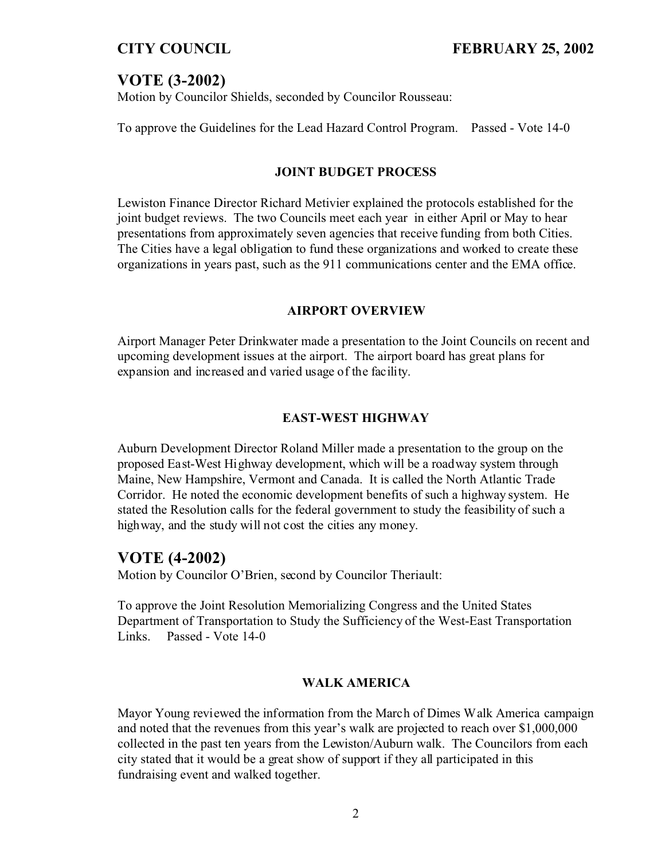# **VOTE (3-2002)**

Motion by Councilor Shields, seconded by Councilor Rousseau:

To approve the Guidelines for the Lead Hazard Control Program. Passed - Vote 14-0

#### **JOINT BUDGET PROCESS**

Lewiston Finance Director Richard Metivier explained the protocols established for the joint budget reviews. The two Councils meet each year in either April or May to hear presentations from approximately seven agencies that receive funding from both Cities. The Cities have a legal obligation to fund these organizations and worked to create these organizations in years past, such as the 911 communications center and the EMA office.

#### **AIRPORT OVERVIEW**

Airport Manager Peter Drinkwater made a presentation to the Joint Councils on recent and upcoming development issues at the airport. The airport board has great plans for expansion and increased and varied usage of the facility.

## **EAST-WEST HIGHWAY**

Auburn Development Director Roland Miller made a presentation to the group on the proposed East-West Highway development, which will be a roadway system through Maine, New Hampshire, Vermont and Canada. It is called the North Atlantic Trade Corridor. He noted the economic development benefits of such a highway system. He stated the Resolution calls for the federal government to study the feasibility of such a high way, and the study will not cost the cities any money.

## **VOTE (4-2002)**

Motion by Councilor O'Brien, second by Councilor Theriault:

To approve the Joint Resolution Memorializing Congress and the United States Department of Transportation to Study the Sufficiency of the West-East Transportation Links. Passed - Vote 14-0

#### **WALK AMERICA**

Mayor Young reviewed the information from the March of Dimes Walk America campaign and noted that the revenues from this year's walk are projected to reach over \$1,000,000 collected in the past ten years from the Lewiston/Auburn walk. The Councilors from each city stated that it would be a great show of support if they all participated in this fundraising event and walked together.